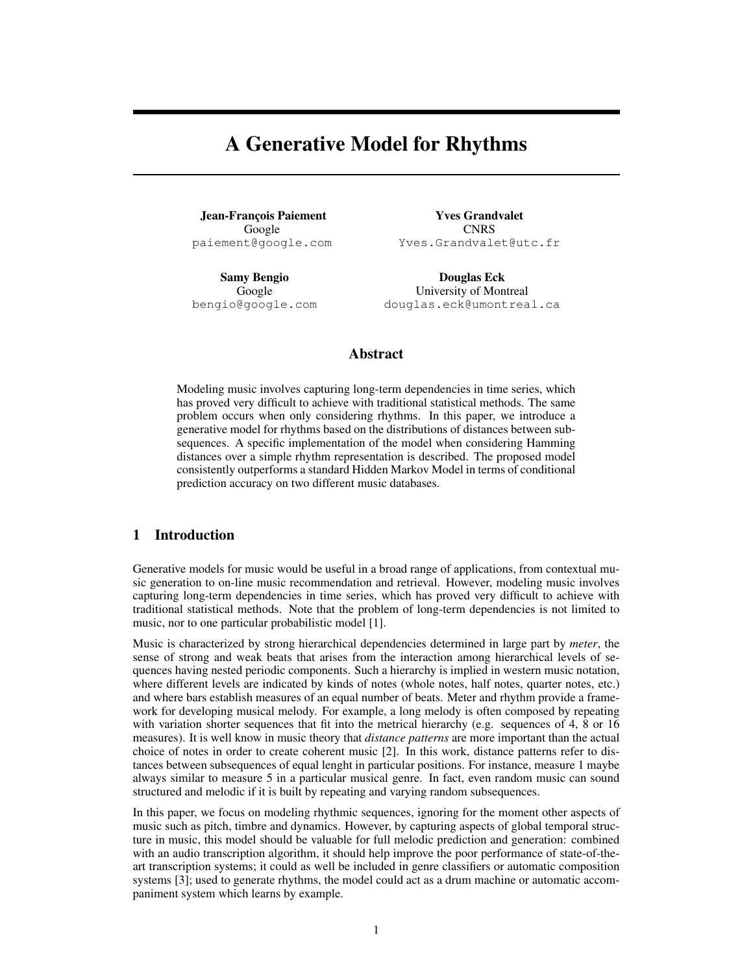# A Generative Model for Rhythms

Jean-François Paiement Google paiement@google.com

Samy Bengio Google bengio@google.com

Yves Grandvalet **CNRS** Yves.Grandvalet@utc.fr

Douglas Eck University of Montreal douglas.eck@umontreal.ca

# Abstract

Modeling music involves capturing long-term dependencies in time series, which has proved very difficult to achieve with traditional statistical methods. The same problem occurs when only considering rhythms. In this paper, we introduce a generative model for rhythms based on the distributions of distances between subsequences. A specific implementation of the model when considering Hamming distances over a simple rhythm representation is described. The proposed model consistently outperforms a standard Hidden Markov Model in terms of conditional prediction accuracy on two different music databases.

# 1 Introduction

Generative models for music would be useful in a broad range of applications, from contextual music generation to on-line music recommendation and retrieval. However, modeling music involves capturing long-term dependencies in time series, which has proved very difficult to achieve with traditional statistical methods. Note that the problem of long-term dependencies is not limited to music, nor to one particular probabilistic model [1].

Music is characterized by strong hierarchical dependencies determined in large part by *meter*, the sense of strong and weak beats that arises from the interaction among hierarchical levels of sequences having nested periodic components. Such a hierarchy is implied in western music notation, where different levels are indicated by kinds of notes (whole notes, half notes, quarter notes, etc.) and where bars establish measures of an equal number of beats. Meter and rhythm provide a framework for developing musical melody. For example, a long melody is often composed by repeating with variation shorter sequences that fit into the metrical hierarchy (e.g. sequences of 4, 8 or 16 measures). It is well know in music theory that *distance patterns* are more important than the actual choice of notes in order to create coherent music [2]. In this work, distance patterns refer to distances between subsequences of equal lenght in particular positions. For instance, measure 1 maybe always similar to measure 5 in a particular musical genre. In fact, even random music can sound structured and melodic if it is built by repeating and varying random subsequences.

In this paper, we focus on modeling rhythmic sequences, ignoring for the moment other aspects of music such as pitch, timbre and dynamics. However, by capturing aspects of global temporal structure in music, this model should be valuable for full melodic prediction and generation: combined with an audio transcription algorithm, it should help improve the poor performance of state-of-theart transcription systems; it could as well be included in genre classifiers or automatic composition systems [3]; used to generate rhythms, the model could act as a drum machine or automatic accompaniment system which learns by example.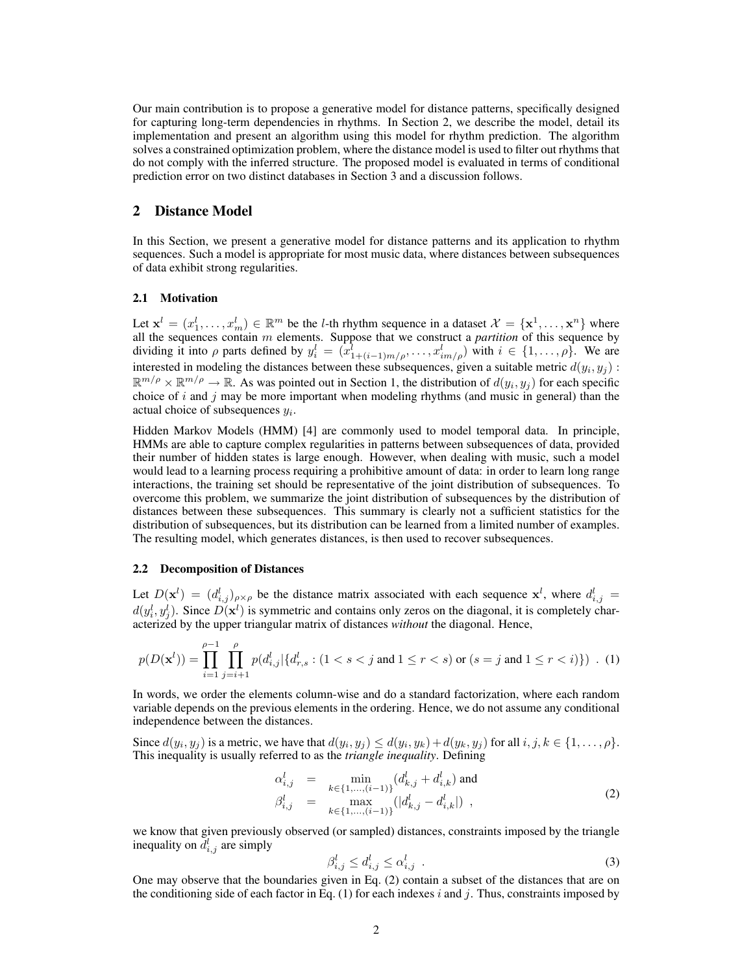Our main contribution is to propose a generative model for distance patterns, specifically designed for capturing long-term dependencies in rhythms. In Section 2, we describe the model, detail its implementation and present an algorithm using this model for rhythm prediction. The algorithm solves a constrained optimization problem, where the distance model is used to filter out rhythms that do not comply with the inferred structure. The proposed model is evaluated in terms of conditional prediction error on two distinct databases in Section 3 and a discussion follows.

#### 2 Distance Model

In this Section, we present a generative model for distance patterns and its application to rhythm sequences. Such a model is appropriate for most music data, where distances between subsequences of data exhibit strong regularities.

#### 2.1 Motivation

Let  $\mathbf{x}^l = (x_1^l, \dots, x_m^l) \in \mathbb{R}^m$  be the *l*-th rhythm sequence in a dataset  $\mathcal{X} = {\mathbf{x}^1, \dots, \mathbf{x}^n}$  where all the sequences contain m elements. Suppose that we construct a *partition* of this sequence by dividing it into  $\rho$  parts defined by  $y_i^l = (x_{1+(i-1)m/\rho}^l, \ldots, x_{im/\rho}^l)$  with  $i \in \{1, \ldots, \rho\}$ . We are interested in modeling the distances between these subsequences, given a suitable metric  $d(y_i, y_j)$ :  $\mathbb{R}^{m/p} \times \mathbb{R}^{m/p} \to \mathbb{R}$ . As was pointed out in Section 1, the distribution of  $d(y_i, y_j)$  for each specific choice of i and j may be more important when modeling rhythms (and music in general) than the actual choice of subsequences  $y_i$ .

Hidden Markov Models (HMM) [4] are commonly used to model temporal data. In principle, HMMs are able to capture complex regularities in patterns between subsequences of data, provided their number of hidden states is large enough. However, when dealing with music, such a model would lead to a learning process requiring a prohibitive amount of data: in order to learn long range interactions, the training set should be representative of the joint distribution of subsequences. To overcome this problem, we summarize the joint distribution of subsequences by the distribution of distances between these subsequences. This summary is clearly not a sufficient statistics for the distribution of subsequences, but its distribution can be learned from a limited number of examples. The resulting model, which generates distances, is then used to recover subsequences.

#### 2.2 Decomposition of Distances

Let  $D(\mathbf{x}^l) = (d_{i,j}^l)_{\rho \times \rho}$  be the distance matrix associated with each sequence  $\mathbf{x}^l$ , where  $d_{i,j}^l =$  $d(y_i^l, y_j^l)$ . Since  $D(\mathbf{x}^l)$  is symmetric and contains only zeros on the diagonal, it is completely characterized by the upper triangular matrix of distances *without* the diagonal. Hence,

$$
p(D(\mathbf{x}^l)) = \prod_{i=1}^{\rho-1} \prod_{j=i+1}^{\rho} p(d_{i,j}^l | \{d_{r,s}^l : (1 < s < j \text{ and } 1 \le r < s) \text{ or } (s = j \text{ and } 1 \le r < i) \}) . (1)
$$

In words, we order the elements column-wise and do a standard factorization, where each random variable depends on the previous elements in the ordering. Hence, we do not assume any conditional independence between the distances.

Since  $d(y_i, y_j)$  is a metric, we have that  $d(y_i, y_j) \leq d(y_i, y_k) + d(y_k, y_j)$  for all  $i, j, k \in \{1, \ldots, \rho\}$ . This inequality is usually referred to as the *triangle inequality*. Defining

$$
\alpha_{i,j}^l = \min_{k \in \{1, \dots, (i-1)\}} (d_{k,j}^l + d_{i,k}^l) \text{ and}
$$
\n
$$
\beta_{i,j}^l = \max_{k \in \{1, \dots, (i-1)\}} (|d_{k,j}^l - d_{i,k}^l|) ,
$$
\n(2)

we know that given previously observed (or sampled) distances, constraints imposed by the triangle inequality on  $d_{i,j}^l$  are simply

$$
\beta_{i,j}^l \le d_{i,j}^l \le \alpha_{i,j}^l \tag{3}
$$

One may observe that the boundaries given in Eq. (2) contain a subset of the distances that are on the conditioning side of each factor in Eq.  $(1)$  for each indexes i and j. Thus, constraints imposed by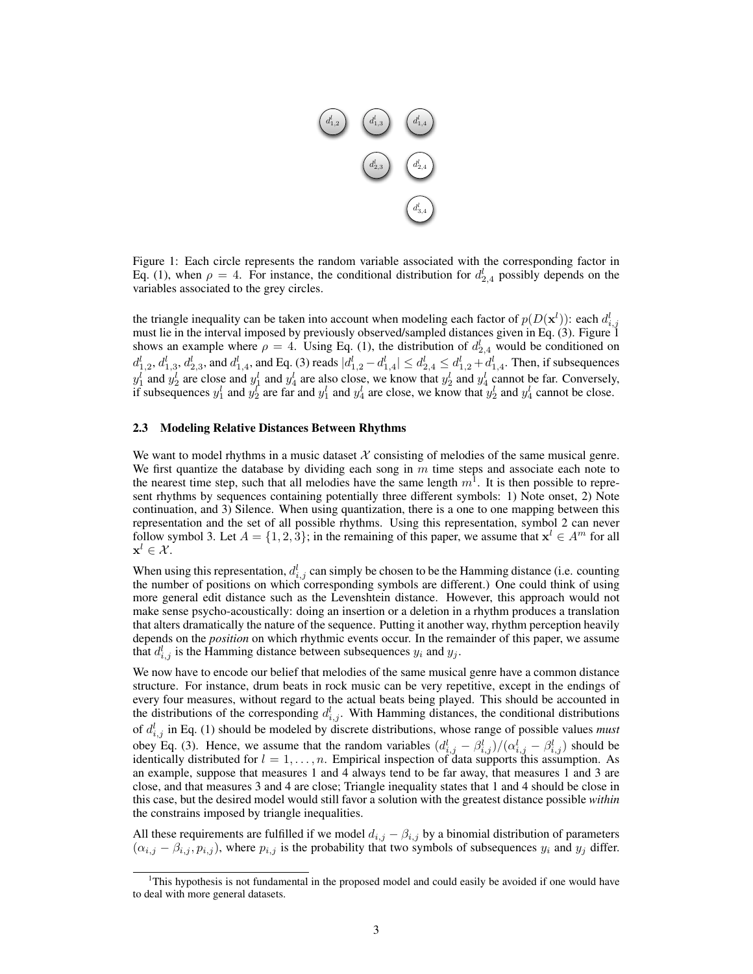

Figure 1: Each circle represents the random variable associated with the corresponding factor in Eq. (1), when  $\rho = 4$ . For instance, the conditional distribution for  $d_{2,4}^l$  possibly depends on the variables associated to the grey circles.

the triangle inequality can be taken into account when modeling each factor of  $p(D(\mathbf{x}^l))$ : each  $d_{i,j}^l$ must lie in the interval imposed by previously observed/sampled distances given in Eq. (3). Figure 1 shows an example where  $\rho = 4$ . Using Eq. (1), the distribution of  $d_{2,4}^l$  would be conditioned on  $d_{1,2}^l, d_{1,3}^l, d_{2,3}^l$ , and  $d_{1,4}^l$ , and Eq. (3) reads  $|d_{1,2}^l - d_{1,4}^l| \leq d_{2,4}^l \leq d_{1,2}^l + d_{1,4}^l$ . Then, if subsequences  $y_1^l$  and  $y_2^l$  are close and  $y_1^l$  and  $y_4^l$  are also close, we know that  $y_2^l$  and  $y_4^l$  cannot be far. Conversely, if subsequences  $y_1^l$  and  $y_2^l$  are far and  $y_1^l$  and  $y_4^l$  are close, we know that  $y_2^l$  and  $y_4^l$  cannot be close.

#### 2.3 Modeling Relative Distances Between Rhythms

We want to model rhythms in a music dataset  $X$  consisting of melodies of the same musical genre. We first quantize the database by dividing each song in  $m$  time steps and associate each note to the nearest time step, such that all melodies have the same length  $m^1$ . It is then possible to represent rhythms by sequences containing potentially three different symbols: 1) Note onset, 2) Note continuation, and 3) Silence. When using quantization, there is a one to one mapping between this representation and the set of all possible rhythms. Using this representation, symbol 2 can never follow symbol 3. Let  $A = \{1, 2, 3\}$ ; in the remaining of this paper, we assume that  $x^l \in A^m$  for all  $\mathbf{x}^l \in \mathcal{X}$ .

When using this representation,  $d_{i,j}^l$  can simply be chosen to be the Hamming distance (i.e. counting the number of positions on which corresponding symbols are different.) One could think of using more general edit distance such as the Levenshtein distance. However, this approach would not make sense psycho-acoustically: doing an insertion or a deletion in a rhythm produces a translation that alters dramatically the nature of the sequence. Putting it another way, rhythm perception heavily depends on the *position* on which rhythmic events occur. In the remainder of this paper, we assume that  $d_{i,j}^l$  is the Hamming distance between subsequences  $y_i$  and  $y_j$ .

We now have to encode our belief that melodies of the same musical genre have a common distance structure. For instance, drum beats in rock music can be very repetitive, except in the endings of every four measures, without regard to the actual beats being played. This should be accounted in the distributions of the corresponding  $d_{i,j}^l$ . With Hamming distances, the conditional distributions of  $d_{i,j}^l$  in Eq. (1) should be modeled by discrete distributions, whose range of possible values *must* obey Eq. (3). Hence, we assume that the random variables  $(d_{i,j}^l - \beta_{i,j}^l)/(\alpha_{i,j}^l - \beta_{i,j}^l)$  should be identically distributed for  $l = 1, \ldots, n$ . Empirical inspection of data supports this assumption. As an example, suppose that measures 1 and 4 always tend to be far away, that measures 1 and 3 are close, and that measures 3 and 4 are close; Triangle inequality states that 1 and 4 should be close in this case, but the desired model would still favor a solution with the greatest distance possible *within* the constrains imposed by triangle inequalities.

All these requirements are fulfilled if we model  $d_{i,j} - \beta_{i,j}$  by a binomial distribution of parameters  $(\alpha_{i,j} - \beta_{i,j}, p_{i,j})$ , where  $p_{i,j}$  is the probability that two symbols of subsequences  $y_i$  and  $y_j$  differ.

<sup>1</sup>This hypothesis is not fundamental in the proposed model and could easily be avoided if one would have to deal with more general datasets.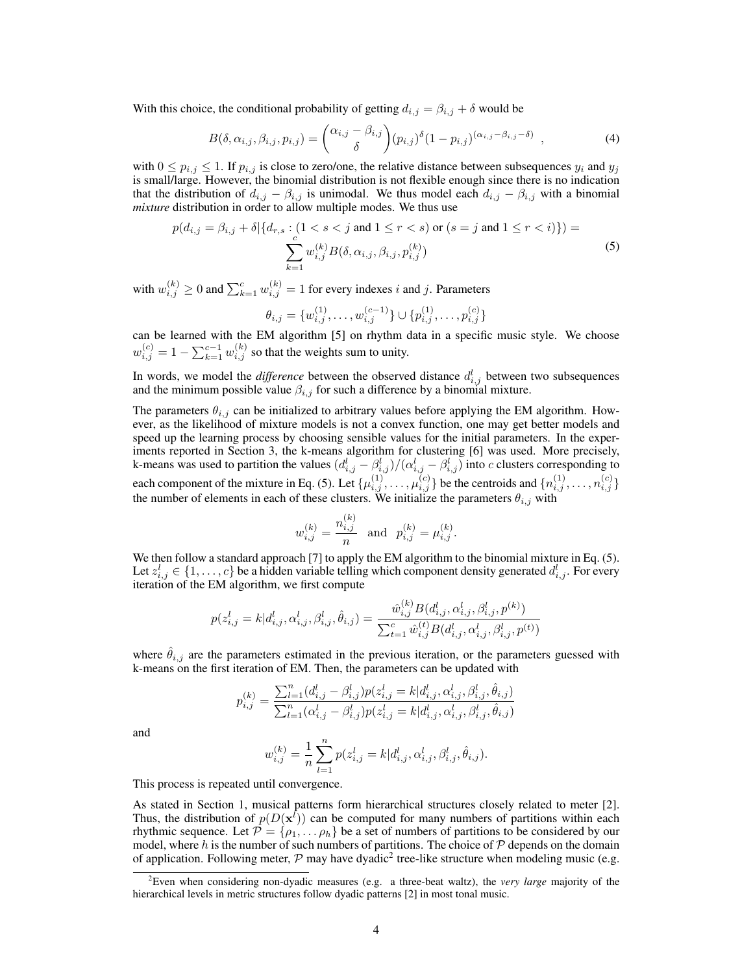With this choice, the conditional probability of getting  $d_{i,j} = \beta_{i,j} + \delta$  would be

$$
B(\delta, \alpha_{i,j}, \beta_{i,j}, p_{i,j}) = {\alpha_{i,j} - \beta_{i,j} \choose \delta} (p_{i,j})^{\delta} (1 - p_{i,j})^{(\alpha_{i,j} - \beta_{i,j} - \delta)}, \qquad (4)
$$

with  $0 \le p_{i,j} \le 1$ . If  $p_{i,j}$  is close to zero/one, the relative distance between subsequences  $y_i$  and  $y_j$ is small/large. However, the binomial distribution is not flexible enough since there is no indication that the distribution of  $d_{i,j} - \beta_{i,j}$  is unimodal. We thus model each  $d_{i,j} - \beta_{i,j}$  with a binomial *mixture* distribution in order to allow multiple modes. We thus use

$$
p(d_{i,j} = \beta_{i,j} + \delta | \{d_{r,s} : (1 < s < j \text{ and } 1 \le r < s) \text{ or } (s = j \text{ and } 1 \le r < i) \}) = \sum_{k=1}^{c} w_{i,j}^{(k)} B(\delta, \alpha_{i,j}, \beta_{i,j}, p_{i,j}^{(k)}) \tag{5}
$$

with  $w_{i,j}^{(k)} \ge 0$  and  $\sum_{k=1}^{c} w_{i,j}^{(k)} = 1$  for every indexes i and j. Parameters

$$
\theta_{i,j} = \{w_{i,j}^{(1)}, \dots, w_{i,j}^{(c-1)}\} \cup \{p_{i,j}^{(1)}, \dots, p_{i,j}^{(c)}\}
$$

can be learned with the EM algorithm [5] on rhythm data in a specific music style. We choose  $w_{i,j}^{(c)} = 1 - \sum_{k=1}^{c-1} w_{i,j}^{(k)}$  so that the weights sum to unity.

In words, we model the *difference* between the observed distance  $d_{i,j}^l$  between two subsequences and the minimum possible value  $\beta_{i,j}$  for such a difference by a binomial mixture.

The parameters  $\theta_{i,j}$  can be initialized to arbitrary values before applying the EM algorithm. However, as the likelihood of mixture models is not a convex function, one may get better models and speed up the learning process by choosing sensible values for the initial parameters. In the experiments reported in Section 3, the k-means algorithm for clustering [6] was used. More precisely, k-means was used to partition the values  $(d_{i,j}^l - \beta_{i,j}^l)/( \alpha_{i,j}^l - \beta_{i,j}^l)$  into c clusters corresponding to each component of the mixture in Eq. (5). Let  $\{\mu_{i,j}^{(1)},\ldots,\mu_{i,j}^{(c)}\}$  be the centroids and  $\{n_{i,j}^{(1)},\ldots,n_{i,j}^{(c)}\}$ the number of elements in each of these clusters. We initialize the parameters  $\theta_{i,j}$  with

$$
w_{i,j}^{(k)} = \frac{n_{i,j}^{(k)}}{n}
$$
 and  $p_{i,j}^{(k)} = \mu_{i,j}^{(k)}$ .

We then follow a standard approach [7] to apply the EM algorithm to the binomial mixture in Eq. (5). Let  $z_{i,j}^l \in \{1, \ldots, c\}$  be a hidden variable telling which component density generated  $d_{i,j}^l$ . For every iteration of the EM algorithm, we first compute

$$
p(z_{i,j}^l = k | d_{i,j}^l, \alpha_{i,j}^l, \beta_{i,j}^l, \hat{\theta}_{i,j}) = \frac{\hat{w}_{i,j}^{(k)} B(d_{i,j}^l, \alpha_{i,j}^l, \beta_{i,j}^l, p^{(k)})}{\sum_{t=1}^c \hat{w}_{i,j}^{(t)} B(d_{i,j}^l, \alpha_{i,j}^l, \beta_{i,j}^l, p^{(t)})}
$$

where  $\hat{\theta}_{i,j}$  are the parameters estimated in the previous iteration, or the parameters guessed with k-means on the first iteration of EM. Then, the parameters can be updated with

$$
p_{i,j}^{(k)} = \frac{\sum_{l=1}^{n} (d_{i,j}^l - \beta_{i,j}^l) p(z_{i,j}^l = k | d_{i,j}^l, \alpha_{i,j}^l, \beta_{i,j}^l, \hat{\theta}_{i,j})}{\sum_{l=1}^{n} (\alpha_{i,j}^l - \beta_{i,j}^l) p(z_{i,j}^l = k | d_{i,j}^l, \alpha_{i,j}^l, \beta_{i,j}^l, \hat{\theta}_{i,j})}
$$

and

$$
w_{i,j}^{(k)} = \frac{1}{n}\sum_{l=1}^n p(z_{i,j}^l = k|d_{i,j}^l,\alpha_{i,j}^l,\beta_{i,j}^l,\hat{\theta}_{i,j}).
$$

This process is repeated until convergence.

As stated in Section 1, musical patterns form hierarchical structures closely related to meter [2]. Thus, the distribution of  $p(D(\mathbf{x}^l))$  can be computed for many numbers of partitions within each rhythmic sequence. Let  $\mathcal{P} = \{\rho_1, \ldots \rho_h\}$  be a set of numbers of partitions to be considered by our model, where  $h$  is the number of such numbers of partitions. The choice of  $P$  depends on the domain of application. Following meter,  $P$  may have dyadic<sup>2</sup> tree-like structure when modeling music (e.g.

<sup>2</sup>Even when considering non-dyadic measures (e.g. a three-beat waltz), the *very large* majority of the hierarchical levels in metric structures follow dyadic patterns [2] in most tonal music.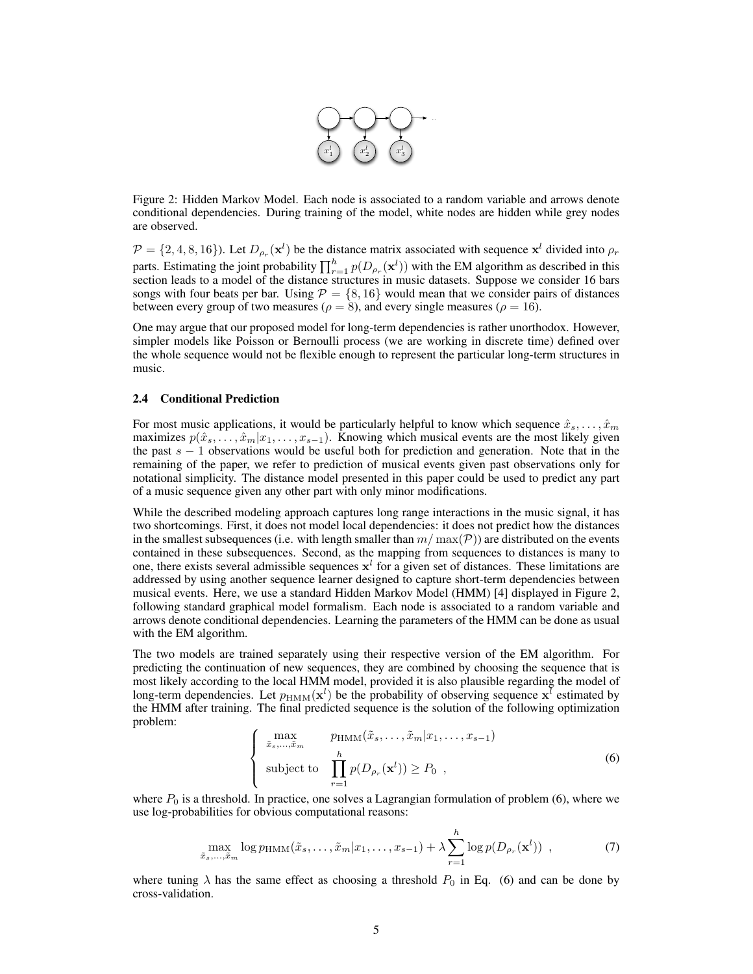

Figure 2: Hidden Markov Model. Each node is associated to a random variable and arrows denote conditional dependencies. During training of the model, white nodes are hidden while grey nodes are observed.

 $\mathcal{P} = \{2, 4, 8, 16\}$ ). Let  $D_{\rho_r}(\mathbf{x}^l)$  be the distance matrix associated with sequence  $\mathbf{x}^l$  divided into  $\rho_r$ parts. Estimating the joint probability  $\prod_{r=1}^{h} p(D_{\rho_r}(\mathbf{x}^l))$  with the EM algorithm as described in this section leads to a model of the distance structures in music datasets. Suppose we consider 16 bars songs with four beats per bar. Using  $P = \{8, 16\}$  would mean that we consider pairs of distances between every group of two measures ( $\rho = 8$ ), and every single measures ( $\rho = 16$ ).

One may argue that our proposed model for long-term dependencies is rather unorthodox. However, simpler models like Poisson or Bernoulli process (we are working in discrete time) defined over the whole sequence would not be flexible enough to represent the particular long-term structures in music.

#### 2.4 Conditional Prediction

For most music applications, it would be particularly helpful to know which sequence  $\hat{x}_s, \dots, \hat{x}_m$ maximizes  $p(\hat{x}_s, \dots, \hat{x}_m | x_1, \dots, x_{s-1})$ . Knowing which musical events are the most likely given the past  $s - 1$  observations would be useful both for prediction and generation. Note that in the remaining of the paper, we refer to prediction of musical events given past observations only for notational simplicity. The distance model presented in this paper could be used to predict any part of a music sequence given any other part with only minor modifications.

While the described modeling approach captures long range interactions in the music signal, it has two shortcomings. First, it does not model local dependencies: it does not predict how the distances in the smallest subsequences (i.e. with length smaller than  $m / \max(\mathcal{P})$ ) are distributed on the events contained in these subsequences. Second, as the mapping from sequences to distances is many to one, there exists several admissible sequences  $x^l$  for a given set of distances. These limitations are addressed by using another sequence learner designed to capture short-term dependencies between musical events. Here, we use a standard Hidden Markov Model (HMM) [4] displayed in Figure 2, following standard graphical model formalism. Each node is associated to a random variable and arrows denote conditional dependencies. Learning the parameters of the HMM can be done as usual with the EM algorithm.

The two models are trained separately using their respective version of the EM algorithm. For predicting the continuation of new sequences, they are combined by choosing the sequence that is most likely according to the local HMM model, provided it is also plausible regarding the model of long-term dependencies. Let  $p_{\text{HMM}}(\mathbf{x}^l)$  be the probability of observing sequence  $\mathbf{x}^l$  estimated by the HMM after training. The final predicted sequence is the solution of the following optimization problem:

$$
\begin{cases}\n\max_{\tilde{x}_s,\dots,\tilde{x}_m} & p_{\text{HMM}}(\tilde{x}_s,\dots,\tilde{x}_m|x_1,\dots,x_{s-1}) \\
\text{subject to} & \prod_{r=1}^h p(D_{\rho_r}(\mathbf{x}^l)) \ge P_0 \quad,\n\end{cases} \tag{6}
$$

where  $P_0$  is a threshold. In practice, one solves a Lagrangian formulation of problem (6), where we use log-probabilities for obvious computational reasons:

$$
\max_{\tilde{x}_s,\dots,\tilde{x}_m} \log p_{\text{HMM}}(\tilde{x}_s,\dots,\tilde{x}_m | x_1,\dots,x_{s-1}) + \lambda \sum_{r=1}^h \log p(D_{\rho_r}(\mathbf{x}^l)) \tag{7}
$$

where tuning  $\lambda$  has the same effect as choosing a threshold  $P_0$  in Eq. (6) and can be done by cross-validation.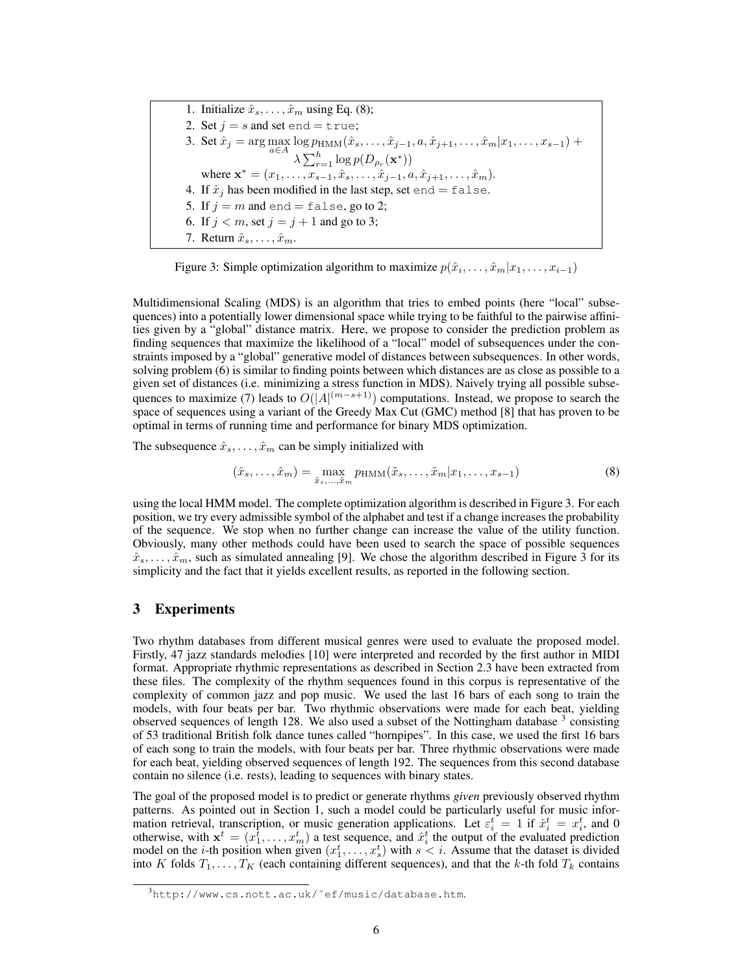1. Initialize  $\hat{x}_s, \dots, \hat{x}_m$  using Eq. (8); 2. Set  $j = s$  and set end = true; 3. Set  $\hat{x}_j = \arg \max_{a \in A} \log p_{\text{HMM}}(\hat{x}_s, \dots, \hat{x}_{j-1}, a, \hat{x}_{j+1}, \dots, \hat{x}_m | x_1, \dots, x_{s-1}) +$  $\lambda \sum_{r=1}^h \log p(D_{\rho_r}(\mathbf{x}^*))$ where  $\mathbf{x}^* = (x_1, \ldots, x_{s-1}, \hat{x}_s, \ldots, \hat{x}_{j-1}, a, \hat{x}_{j+1}, \ldots, \hat{x}_m).$ 4. If  $\hat{x}_i$  has been modified in the last step, set end = false. 5. If  $j = m$  and end = false, go to 2; 6. If  $j < m$ , set  $j = j + 1$  and go to 3; 7. Return  $\hat{x}_s, \ldots, \hat{x}_m$ .

Figure 3: Simple optimization algorithm to maximize  $p(\hat{x}_i, \dots, \hat{x}_m | x_1, \dots, x_{i-1})$ 

Multidimensional Scaling (MDS) is an algorithm that tries to embed points (here "local" subsequences) into a potentially lower dimensional space while trying to be faithful to the pairwise affinities given by a "global" distance matrix. Here, we propose to consider the prediction problem as finding sequences that maximize the likelihood of a "local" model of subsequences under the constraints imposed by a "global" generative model of distances between subsequences. In other words, solving problem (6) is similar to finding points between which distances are as close as possible to a given set of distances (i.e. minimizing a stress function in MDS). Naively trying all possible subsequences to maximize (7) leads to  $O(|A|^{(m-s+1)})$  computations. Instead, we propose to search the space of sequences using a variant of the Greedy Max Cut (GMC) method [8] that has proven to be optimal in terms of running time and performance for binary MDS optimization.

The subsequence  $\hat{x}_s, \dots, \hat{x}_m$  can be simply initialized with

$$
(\hat{x}_s, \dots, \hat{x}_m) = \max_{\tilde{x}_s, \dots, \tilde{x}_m} p_{\text{HMM}}(\tilde{x}_s, \dots, \tilde{x}_m | x_1, \dots, x_{s-1})
$$
\n(8)

using the local HMM model. The complete optimization algorithm is described in Figure 3. For each position, we try every admissible symbol of the alphabet and test if a change increases the probability of the sequence. We stop when no further change can increase the value of the utility function. Obviously, many other methods could have been used to search the space of possible sequences  $\hat{x}_s, \ldots, \hat{x}_m$ , such as simulated annealing [9]. We chose the algorithm described in Figure 3 for its simplicity and the fact that it yields excellent results, as reported in the following section.

### 3 Experiments

Two rhythm databases from different musical genres were used to evaluate the proposed model. Firstly, 47 jazz standards melodies [10] were interpreted and recorded by the first author in MIDI format. Appropriate rhythmic representations as described in Section 2.3 have been extracted from these files. The complexity of the rhythm sequences found in this corpus is representative of the complexity of common jazz and pop music. We used the last 16 bars of each song to train the models, with four beats per bar. Two rhythmic observations were made for each beat, yielding observed sequences of length 128. We also used a subset of the Nottingham database  $3$  consisting of 53 traditional British folk dance tunes called "hornpipes". In this case, we used the first 16 bars of each song to train the models, with four beats per bar. Three rhythmic observations were made for each beat, yielding observed sequences of length 192. The sequences from this second database contain no silence (i.e. rests), leading to sequences with binary states.

The goal of the proposed model is to predict or generate rhythms *given* previously observed rhythm patterns. As pointed out in Section 1, such a model could be particularly useful for music information retrieval, transcription, or music generation applications. Let  $\varepsilon_i^t = 1$  if  $\hat{x}_i^t = x_i^t$ , and 0 otherwise, with  $x^t = (x_1^{\overline{t}}, \ldots, x_m^{\overline{t}})$  a test sequence, and  $\hat{x}_i^t$  the output of the evaluated prediction model on the *i*-th position when given  $(x_1^t, \ldots, x_s^t)$  with  $s < i$ . Assume that the dataset is divided into K folds  $T_1, \ldots, T_K$  (each containing different sequences), and that the k-th fold  $T_k$  contains

<sup>3</sup>http://www.cs.nott.ac.uk/˜ef/music/database.htm.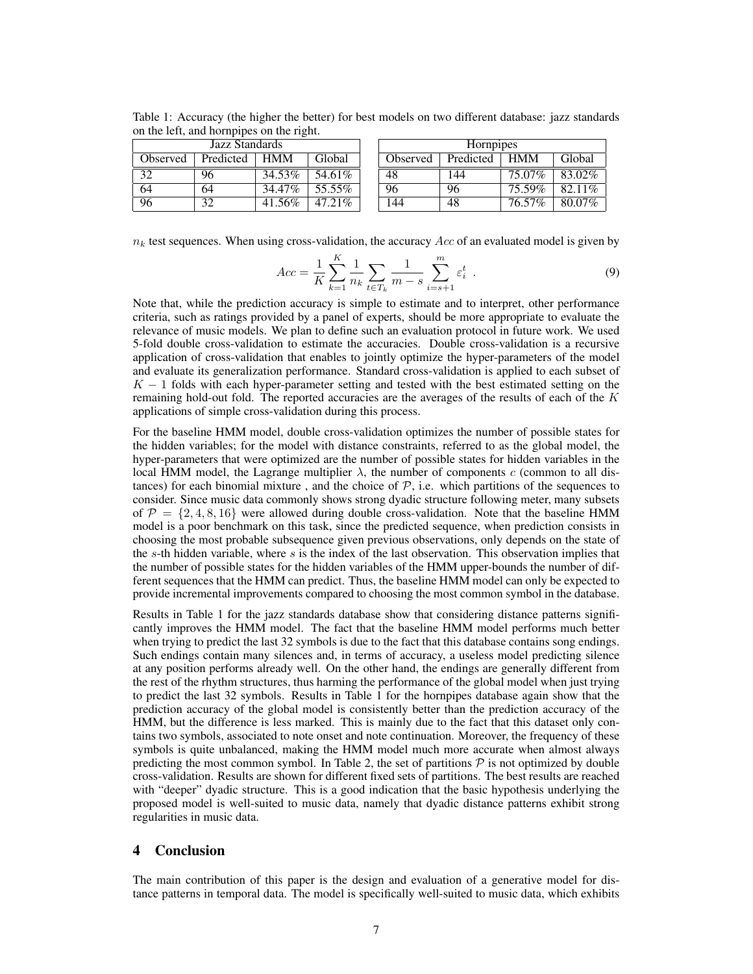| Jazz Standards  |           |            |         |  | <b>Hornpipes</b> |           |            |        |
|-----------------|-----------|------------|---------|--|------------------|-----------|------------|--------|
| <b>Observed</b> | Predicted | <b>HMM</b> | Global  |  | Observed         | Predicted | <b>HMM</b> | Global |
| 32              | 96        | 34.53%     | 54.61%  |  | 48               | -44       | 75.07%     | 83.02% |
| 64              | 64        | 34.47%     | 55.55%  |  | 96               | 96        | 75.59%     | 82.11% |
| 96              | 32        | 41.56%     | 47.21\% |  | 144              | 48        | 76.57%     | 80.07% |

 $\mathbf{r}$ 

Table 1: Accuracy (the higher the better) for best models on two different database: jazz standards on the left, and hornpipes on the right.

 $n_k$  test sequences. When using cross-validation, the accuracy  $Acc$  of an evaluated model is given by

$$
Acc = \frac{1}{K} \sum_{k=1}^{K} \frac{1}{n_k} \sum_{t \in T_k} \frac{1}{m - s} \sum_{i=s+1}^{m} \varepsilon_i^t
$$
 (9)

Note that, while the prediction accuracy is simple to estimate and to interpret, other performance criteria, such as ratings provided by a panel of experts, should be more appropriate to evaluate the relevance of music models. We plan to define such an evaluation protocol in future work. We used 5-fold double cross-validation to estimate the accuracies. Double cross-validation is a recursive application of cross-validation that enables to jointly optimize the hyper-parameters of the model and evaluate its generalization performance. Standard cross-validation is applied to each subset of  $K - 1$  folds with each hyper-parameter setting and tested with the best estimated setting on the remaining hold-out fold. The reported accuracies are the averages of the results of each of the  $K$ applications of simple cross-validation during this process.

For the baseline HMM model, double cross-validation optimizes the number of possible states for the hidden variables; for the model with distance constraints, referred to as the global model, the hyper-parameters that were optimized are the number of possible states for hidden variables in the local HMM model, the Lagrange multiplier  $\lambda$ , the number of components c (common to all distances) for each binomial mixture, and the choice of  $P$ , i.e. which partitions of the sequences to consider. Since music data commonly shows strong dyadic structure following meter, many subsets of  $\mathcal{P} = \{2, 4, 8, 16\}$  were allowed during double cross-validation. Note that the baseline HMM model is a poor benchmark on this task, since the predicted sequence, when prediction consists in choosing the most probable subsequence given previous observations, only depends on the state of the  $s$ -th hidden variable, where  $s$  is the index of the last observation. This observation implies that the number of possible states for the hidden variables of the HMM upper-bounds the number of different sequences that the HMM can predict. Thus, the baseline HMM model can only be expected to provide incremental improvements compared to choosing the most common symbol in the database.

Results in Table 1 for the jazz standards database show that considering distance patterns significantly improves the HMM model. The fact that the baseline HMM model performs much better when trying to predict the last 32 symbols is due to the fact that this database contains song endings. Such endings contain many silences and, in terms of accuracy, a useless model predicting silence at any position performs already well. On the other hand, the endings are generally different from the rest of the rhythm structures, thus harming the performance of the global model when just trying to predict the last 32 symbols. Results in Table 1 for the hornpipes database again show that the prediction accuracy of the global model is consistently better than the prediction accuracy of the HMM, but the difference is less marked. This is mainly due to the fact that this dataset only contains two symbols, associated to note onset and note continuation. Moreover, the frequency of these symbols is quite unbalanced, making the HMM model much more accurate when almost always predicting the most common symbol. In Table 2, the set of partitions  $P$  is not optimized by double cross-validation. Results are shown for different fixed sets of partitions. The best results are reached with "deeper" dyadic structure. This is a good indication that the basic hypothesis underlying the proposed model is well-suited to music data, namely that dyadic distance patterns exhibit strong regularities in music data.

## 4 Conclusion

The main contribution of this paper is the design and evaluation of a generative model for distance patterns in temporal data. The model is specifically well-suited to music data, which exhibits